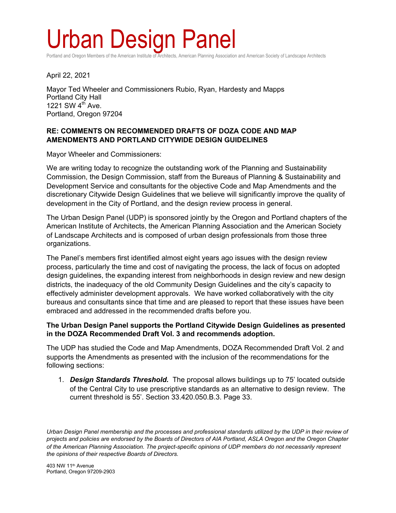# Urban Design Panel

Portland and Oregon Members of the American Institute of Architects, American Planning Association and American Society of Landscape Architects

April 22, 2021

Mayor Ted Wheeler and Commissioners Rubio, Ryan, Hardesty and Mapps Portland City Hall 1221 SW  $4<sup>th</sup>$  Ave. Portland, Oregon 97204

### **RE: COMMENTS ON RECOMMENDED DRAFTS OF DOZA CODE AND MAP AMENDMENTS AND PORTLAND CITYWIDE DESIGN GUIDELINES**

Mayor Wheeler and Commissioners:

We are writing today to recognize the outstanding work of the Planning and Sustainability Commission, the Design Commission, staff from the Bureaus of Planning & Sustainability and Development Service and consultants for the objective Code and Map Amendments and the discretionary Citywide Design Guidelines that we believe will significantly improve the quality of development in the City of Portland, and the design review process in general.

The Urban Design Panel (UDP) is sponsored jointly by the Oregon and Portland chapters of the American Institute of Architects, the American Planning Association and the American Society of Landscape Architects and is composed of urban design professionals from those three organizations.

The Panel's members first identified almost eight years ago issues with the design review process, particularly the time and cost of navigating the process, the lack of focus on adopted design guidelines, the expanding interest from neighborhoods in design review and new design districts, the inadequacy of the old Community Design Guidelines and the city's capacity to effectively administer development approvals. We have worked collaboratively with the city bureaus and consultants since that time and are pleased to report that these issues have been embraced and addressed in the recommended drafts before you.

#### **The Urban Design Panel supports the Portland Citywide Design Guidelines as presented in the DOZA Recommended Draft Vol. 3 and recommends adoption.**

The UDP has studied the Code and Map Amendments, DOZA Recommended Draft Vol. 2 and supports the Amendments as presented with the inclusion of the recommendations for the following sections:

1. *Design Standards Threshold.*The proposal allows buildings up to 75' located outside of the Central City to use prescriptive standards as an alternative to design review. The current threshold is 55'. Section 33.420.050.B.3. Page 33.

*Urban Design Panel membership and the processes and professional standards utilized by the UDP in their review of projects and policies are endorsed by the Boards of Directors of AIA Portland, ASLA Oregon and the Oregon Chapter of the American Planning Association. The project-specific opinions of UDP members do not necessarily represent the opinions of their respective Boards of Directors.* 

403 NW 11th Avenue Portland, Oregon 97209-2903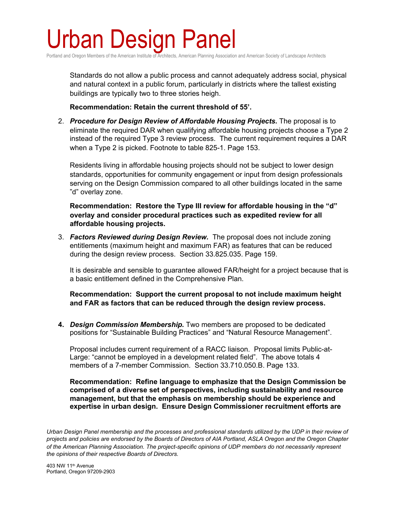## Urban Design Panel

Portland and Oregon Members of the American Institute of Architects, American Planning Association and American Society of Landscape Architects

Standards do not allow a public process and cannot adequately address social, physical and natural context in a public forum, particularly in districts where the tallest existing buildings are typically two to three stories heigh.

**Recommendation: Retain the current threshold of 55'.**

2. *Procedure for Design Review of Affordable Housing Projects.* The proposal is to eliminate the required DAR when qualifying affordable housing projects choose a Type 2 instead of the required Type 3 review process. The current requirement requires a DAR when a Type 2 is picked. Footnote to table 825-1. Page 153.

Residents living in affordable housing projects should not be subject to lower design standards, opportunities for community engagement or input from design professionals serving on the Design Commission compared to all other buildings located in the same "d" overlay zone.

**Recommendation: Restore the Type III review for affordable housing in the "d" overlay and consider procedural practices such as expedited review for all affordable housing projects.** 

3. *Factors Reviewed during Design Review.* The proposal does not include zoning entitlements (maximum height and maximum FAR) as features that can be reduced during the design review process. Section 33.825.035. Page 159.

It is desirable and sensible to guarantee allowed FAR/height for a project because that is a basic entitlement defined in the Comprehensive Plan.

**Recommendation: Support the current proposal to not include maximum height and FAR as factors that can be reduced through the design review process.** 

**4.** *Design Commission Membership.* Two members are proposed to be dedicated positions for "Sustainable Building Practices" and "Natural Resource Management".

Proposal includes current requirement of a RACC liaison. Proposal limits Public-at-Large: "cannot be employed in a development related field". The above totals 4 members of a 7-member Commission. Section 33.710.050.B. Page 133.

**Recommendation: Refine language to emphasize that the Design Commission be comprised of a diverse set of perspectives, including sustainability and resource management, but that the emphasis on membership should be experience and expertise in urban design. Ensure Design Commissioner recruitment efforts are** 

*Urban Design Panel membership and the processes and professional standards utilized by the UDP in their review of projects and policies are endorsed by the Boards of Directors of AIA Portland, ASLA Oregon and the Oregon Chapter of the American Planning Association. The project-specific opinions of UDP members do not necessarily represent the opinions of their respective Boards of Directors.* 

403 NW 11th Avenue Portland, Oregon 97209-2903